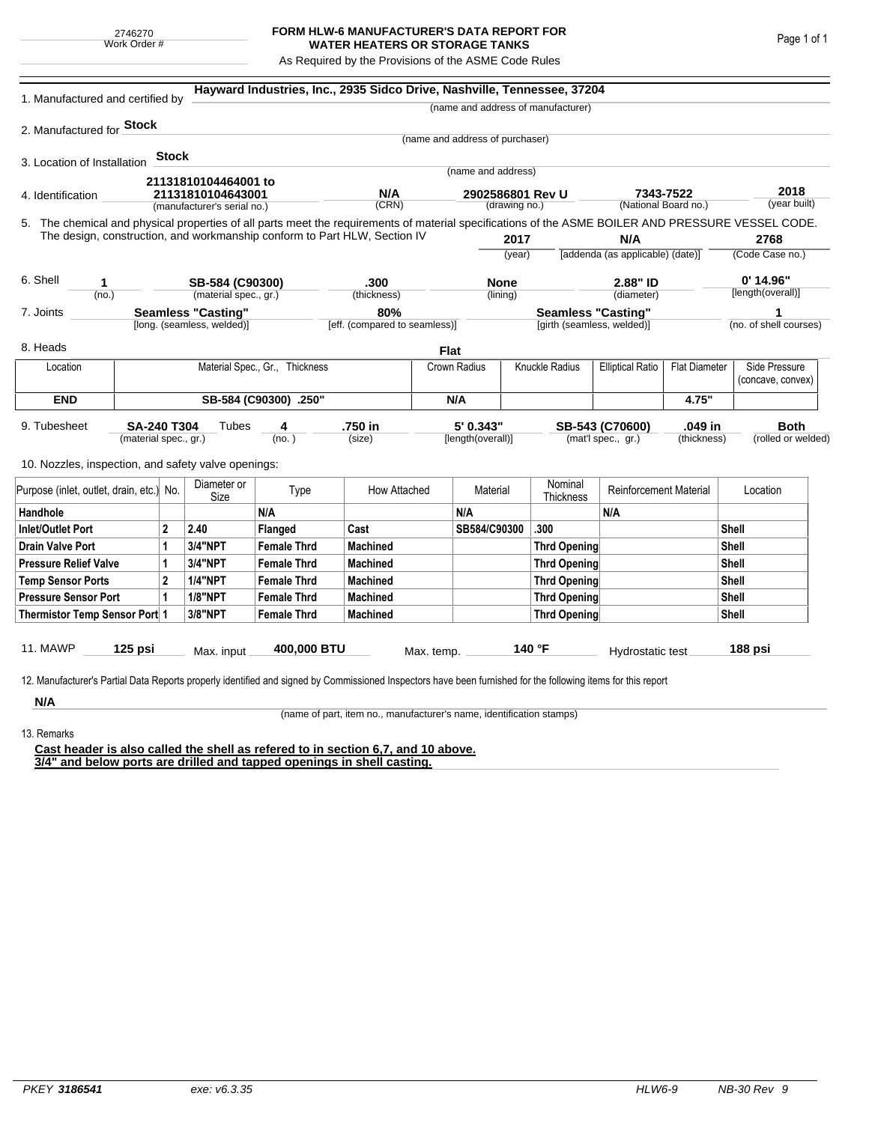| 2746270      |  |
|--------------|--|
| Work Order # |  |

## **FORM HLW-6 MANUFACTURER'S DATA REPORT FOR WATER HEATERS OR STORAGE TANKS**

As Required by the Provisions of the ASME Code Rules

| 1. Manufactured and certified by                                                                                                                              |                           |                     |                       |                       | Hayward Industries, Inc., 2935 Sidco Drive, Nashville, Tennessee, 37204 |                  |                                 |                      |                                                                 |                           |                         |                                    |         |  |
|---------------------------------------------------------------------------------------------------------------------------------------------------------------|---------------------------|---------------------|-----------------------|-----------------------|-------------------------------------------------------------------------|------------------|---------------------------------|----------------------|-----------------------------------------------------------------|---------------------------|-------------------------|------------------------------------|---------|--|
|                                                                                                                                                               |                           |                     |                       |                       |                                                                         |                  |                                 |                      | (name and address of manufacturer)                              |                           |                         |                                    |         |  |
| 2. Manufactured for Stock                                                                                                                                     |                           |                     |                       |                       |                                                                         |                  |                                 |                      |                                                                 |                           |                         |                                    |         |  |
|                                                                                                                                                               |                           |                     |                       |                       |                                                                         |                  | (name and address of purchaser) |                      |                                                                 |                           |                         |                                    |         |  |
| 3. Location of Installation                                                                                                                                   |                           | <b>Stock</b>        |                       |                       |                                                                         |                  |                                 |                      |                                                                 |                           |                         |                                    |         |  |
|                                                                                                                                                               |                           |                     | 21131810104464001 to  |                       |                                                                         |                  | (name and address)              |                      |                                                                 |                           |                         |                                    |         |  |
| 21131810104643001<br>4. Identification                                                                                                                        |                           |                     |                       | N/A                   |                                                                         | 2902586801 Rev U |                                 | 7343-7522            |                                                                 |                           | 2018<br>(year built)    |                                    |         |  |
| (manufacturer's serial no.)                                                                                                                                   |                           |                     |                       | (CRN)                 | (drawing no.)                                                           |                  |                                 |                      | (National Board no.)                                            |                           |                         |                                    |         |  |
| 5. The chemical and physical properties of all parts meet the requirements of material specifications of the ASME BOILER AND PRESSURE VESSEL CODE.            |                           |                     |                       |                       |                                                                         |                  |                                 |                      |                                                                 |                           |                         |                                    |         |  |
| The design, construction, and workmanship conform to Part HLW, Section IV                                                                                     |                           |                     |                       |                       |                                                                         | 2017<br>(year)   |                                 |                      | N/A<br>[addenda (as applicable) (date)]                         |                           | 2768<br>(Code Case no.) |                                    |         |  |
|                                                                                                                                                               |                           |                     |                       |                       |                                                                         |                  |                                 |                      |                                                                 |                           |                         |                                    |         |  |
| 6. Shell<br>1                                                                                                                                                 |                           | SB-584 (C90300)     | .300                  |                       |                                                                         | <b>None</b>      |                                 | 2.88" ID             |                                                                 | $0'$ 14.96"               |                         |                                    |         |  |
| (no.)                                                                                                                                                         |                           |                     | (material spec., gr.) |                       | (thickness)                                                             | (lining)         |                                 |                      | (diameter)                                                      |                           |                         | [length(overall)]                  |         |  |
| 7. Joints                                                                                                                                                     | <b>Seamless "Casting"</b> |                     |                       |                       | 80%                                                                     |                  |                                 |                      |                                                                 | <b>Seamless "Casting"</b> |                         |                                    |         |  |
| (no. of shell courses)<br>[long. (seamless, welded)]<br>[eff. (compared to seamless)]<br>[girth (seamless, welded)]                                           |                           |                     |                       |                       |                                                                         |                  |                                 |                      |                                                                 |                           |                         |                                    |         |  |
| 8. Heads                                                                                                                                                      |                           |                     |                       |                       |                                                                         |                  | <b>Flat</b>                     |                      |                                                                 |                           |                         |                                    |         |  |
| Material Spec., Gr., Thickness<br>Location                                                                                                                    |                           |                     |                       | Crown Radius          |                                                                         |                  | Knuckle Radius                  |                      | <b>Elliptical Ratio</b>                                         | <b>Flat Diameter</b>      |                         | Side Pressure<br>(concave, convex) |         |  |
| <b>END</b>                                                                                                                                                    |                           |                     |                       | SB-584 (C90300) .250" |                                                                         | N/A              |                                 |                      |                                                                 |                           | 4.75"                   |                                    |         |  |
| 9. Tubesheet<br><b>SA-240 T304</b><br>Tubes<br>4<br>(material spec., gr.)                                                                                     |                           |                     | (no.)                 | .750 in<br>(size)     |                                                                         |                  | 5' 0.343"<br>[length(overall)]  |                      | .049 in<br>SB-543 (C70600)<br>(mat'l spec., gr.)<br>(thickness) |                           |                         | <b>Both</b><br>(rolled or welded)  |         |  |
|                                                                                                                                                               |                           |                     |                       |                       |                                                                         |                  |                                 |                      |                                                                 |                           |                         |                                    |         |  |
| 10. Nozzles, inspection, and safety valve openings:                                                                                                           |                           |                     |                       |                       |                                                                         |                  |                                 |                      |                                                                 |                           |                         |                                    |         |  |
| Purpose (inlet, outlet, drain, etc.) No.                                                                                                                      |                           | Diameter or<br>Size | Type                  | How Attached          |                                                                         | Material         |                                 | Nominal<br>Thickness | <b>Reinforcement Material</b>                                   |                           |                         | Location                           |         |  |
| Handhole                                                                                                                                                      | N/A                       |                     |                       | N/A                   |                                                                         |                  | N/A                             |                      |                                                                 |                           |                         |                                    |         |  |
| Inlet/Outlet Port                                                                                                                                             |                           | 2                   | 2.40                  | Flanged               | Cast                                                                    |                  | SB584/C90300                    |                      | .300                                                            |                           |                         | Shell                              |         |  |
| <b>Drain Valve Port</b>                                                                                                                                       |                           | 1                   | 3/4"NPT               | <b>Female Thrd</b>    | <b>Machined</b>                                                         |                  |                                 |                      | <b>Thrd Opening</b>                                             |                           |                         |                                    | Shell   |  |
| <b>Pressure Relief Valve</b>                                                                                                                                  |                           | 1                   | 3/4"NPT               | <b>Female Thrd</b>    | <b>Machined</b>                                                         |                  |                                 |                      | <b>Thrd Opening</b>                                             |                           |                         | Shell                              |         |  |
| <b>Temp Sensor Ports</b>                                                                                                                                      |                           | $\overline{2}$      | <b>1/4"NPT</b>        | <b>Female Thrd</b>    | <b>Machined</b>                                                         |                  |                                 |                      | <b>Thrd Opening</b>                                             |                           |                         | <b>Shell</b>                       |         |  |
| <b>Pressure Sensor Port</b>                                                                                                                                   |                           | 1                   | <b>1/8"NPT</b>        | <b>Female Thrd</b>    | <b>Machined</b>                                                         |                  |                                 | <b>Thrd Opening</b>  |                                                                 |                           |                         | <b>Shell</b>                       |         |  |
| Thermistor Temp Sensor Port 1                                                                                                                                 |                           |                     | 3/8"NPT               | <b>Female Thrd</b>    | <b>Machined</b>                                                         |                  |                                 |                      | <b>Thrd Opening</b>                                             |                           |                         | Shell                              |         |  |
| <b>11. MAWP</b><br>$125$ psi                                                                                                                                  |                           |                     | Max. input            | 400,000 BTU           |                                                                         | Max. temp.       |                                 |                      | 140 °F                                                          | Hydrostatic test          |                         |                                    | 188 psi |  |
|                                                                                                                                                               |                           |                     |                       |                       |                                                                         |                  |                                 |                      |                                                                 |                           |                         |                                    |         |  |
| 12. Manufacturer's Partial Data Reports properly identified and signed by Commissioned Inspectors have been furnished for the following items for this report |                           |                     |                       |                       |                                                                         |                  |                                 |                      |                                                                 |                           |                         |                                    |         |  |
| N/A                                                                                                                                                           |                           |                     |                       |                       |                                                                         |                  |                                 |                      |                                                                 |                           |                         |                                    |         |  |

(name of part, item no., manufacturer's name, identification stamps)

13. Remarks

**Cast header is also called the shell as refered to in section 6,7, and 10 above. 3/4" and below ports are drilled and tapped openings in shell casting.**